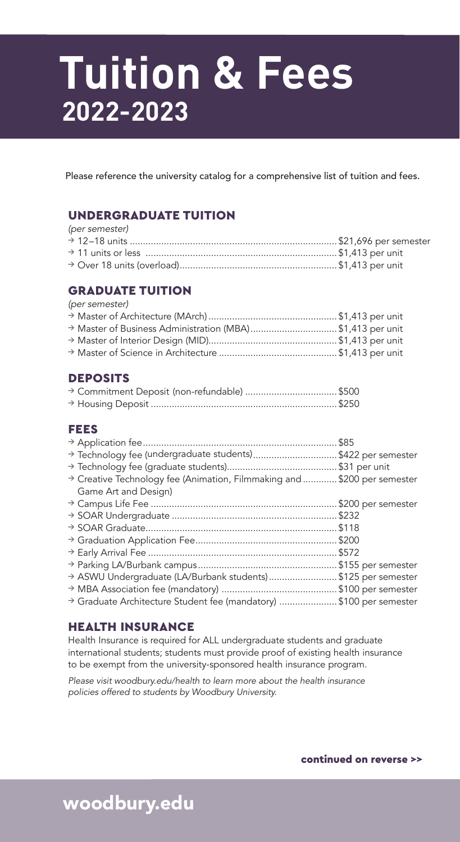# **Tuition & Fees 2022-2023**

Please reference the university catalog for a comprehensive list of tuition and fees.

#### UNDERGRADUATE TUITION

| (per semester) |  |
|----------------|--|
|                |  |
|                |  |
|                |  |

#### GRADUATE TUITION

*(per semester)* 

| > Master of Business Administration (MBA)\$1,413 per unit |  |
|-----------------------------------------------------------|--|
|                                                           |  |
|                                                           |  |

#### DEPOSITS

#### FEES

| > Technology fee (undergraduate students)\$422 per semester<br>→ Creative Technology fee (Animation, Filmmaking and \$200 per semester<br>Game Art and Design) |  |
|----------------------------------------------------------------------------------------------------------------------------------------------------------------|--|
|                                                                                                                                                                |  |
| > ASWU Undergraduate (LA/Burbank students)\$125 per semester<br>> Graduate Architecture Student fee (mandatory) \$100 per semester                             |  |

#### HEALTH INSURANCE

Health Insurance is required for ALL undergraduate students and graduate international students; students must provide proof of existing health insurance to be exempt from the university-sponsored health insurance program.

*Please visit woodbury.edu/health to learn more about the health insurance policies offered to students by Woodbury University.*